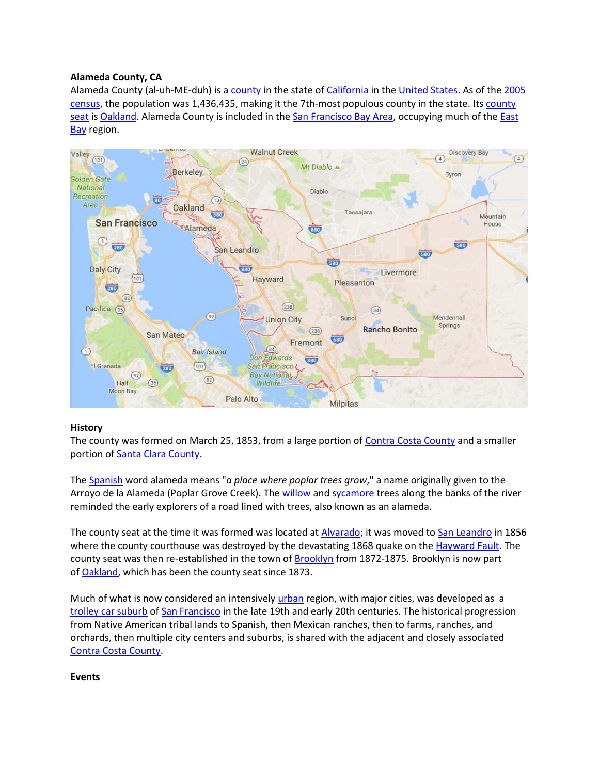# **Alameda County, CA**

Alameda County (al-uh-ME-duh) is a [county](https://en.wikipedia.org/wiki/List_of_California_counties) in the state of [California](https://en.wikipedia.org/wiki/California) in the [United States.](https://en.wikipedia.org/wiki/United_States) As of the 2005 [census,](https://en.wikipedia.org/wiki/2010_United_States_Census) the population was 1,436,435, making it the 7th-most populous county in the state. Its [county](https://en.wikipedia.org/wiki/County_seat)  [seat](https://en.wikipedia.org/wiki/County_seat) is [Oakland.](https://en.wikipedia.org/wiki/Oakland,_California) Alameda County is included in the [San Francisco Bay Area,](https://en.wikipedia.org/wiki/San_Francisco_Bay_Area) occupying much of the East [Bay](https://en.wikipedia.org/wiki/East_Bay_(San_Francisco_Bay_Area)) region.



## **History**

The county was formed on March 25, 1853, from a large portion of [Contra Costa County](https://en.wikipedia.org/wiki/Contra_Costa_County,_California) and a smaller portion of [Santa Clara County.](https://en.wikipedia.org/wiki/Santa_Clara_County,_California)

The [Spanish](https://en.wikipedia.org/wiki/Spanish_language) word alameda means "*a place where poplar trees grow*," a name originally given to the Arroyo de la Alameda (Poplar Grove Creek). The [willow](https://en.wikipedia.org/wiki/Willow) and [sycamore](https://en.wikipedia.org/wiki/Sycamore) trees along the banks of the river reminded the early explorers of a road lined with trees, also known as an alameda.

The county seat at the time it was formed was located at [Alvarado;](https://en.wikipedia.org/wiki/Alvarado,_California) it was moved to [San Leandro](https://en.wikipedia.org/wiki/San_Leandro,_California) in 1856 where the county courthouse was destroyed by the devastating 1868 quake on the [Hayward Fault.](https://en.wikipedia.org/wiki/Hayward_Fault) The county seat was then re-established in the town of **[Brooklyn](https://en.wikipedia.org/wiki/Brooklyn,_California)** from 1872-1875. Brooklyn is now part of [Oakland,](https://en.wikipedia.org/wiki/Oakland,_California) which has been the county seat since 1873.

Much of what is now considered an intensively [urban](https://en.wikipedia.org/wiki/Urban_area) region, with major cities, was developed as a [trolley car suburb](https://en.wikipedia.org/wiki/Trolley_car_suburb) of [San Francisco](https://en.wikipedia.org/wiki/San_Francisco,_California) in the late 19th and early 20th centuries. The historical progression from Native American tribal lands to Spanish, then Mexican ranches, then to farms, ranches, and orchards, then multiple city centers and suburbs, is shared with the adjacent and closely associated [Contra Costa County.](https://en.wikipedia.org/wiki/Contra_Costa_County,_California#History)

**Events**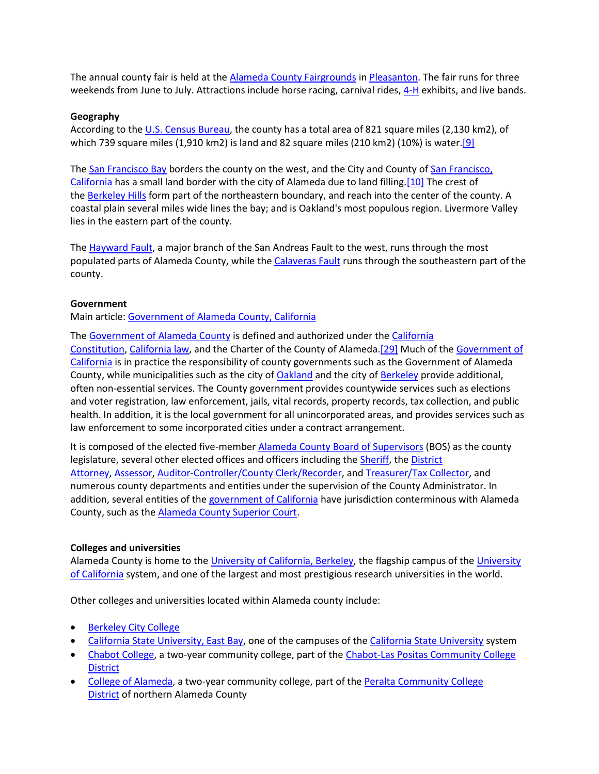The annual county fair is held at the [Alameda County Fairgrounds](https://en.wikipedia.org/wiki/Alameda_County_Fairgrounds) in [Pleasanton.](https://en.wikipedia.org/wiki/Pleasanton,_California) The fair runs for three weekends from June to July. Attractions include horse racing, carnival rides, [4-H](https://en.wikipedia.org/wiki/4-H) exhibits, and live bands.

#### **Geography**

According to the [U.S. Census Bureau,](https://en.wikipedia.org/wiki/U.S._Census_Bureau) the county has a total area of 821 square miles (2,130 km2), of which 739 square miles (1,910 km2) is land and 82 square miles (210 km2) (10%) is water.<sup>[9]</sup>

The [San Francisco Bay](https://en.wikipedia.org/wiki/San_Francisco_Bay) borders the county on the west, and the City and County of [San Francisco,](https://en.wikipedia.org/wiki/San_Francisco,_California)  [California](https://en.wikipedia.org/wiki/San_Francisco,_California) has a small land border with the city of Alameda due to land filling[.\[10\]](https://en.wikipedia.org/wiki/Alameda_County,_California#cite_note-10) The crest of the [Berkeley Hills](https://en.wikipedia.org/wiki/Berkeley_Hills) form part of the northeastern boundary, and reach into the center of the county. A coastal plain several miles wide lines the bay; and is Oakland's most populous region. Livermore Valley lies in the eastern part of the county.

The [Hayward Fault,](https://en.wikipedia.org/wiki/Hayward_Fault) a major branch of the San Andreas Fault to the west, runs through the most populated parts of Alameda County, while the [Calaveras Fault](https://en.wikipedia.org/wiki/Calaveras_Fault) runs through the southeastern part of the county.

#### **Government**

Main article: [Government of Alameda County, California](https://en.wikipedia.org/wiki/Government_of_Alameda_County,_California)

The [Government of Alameda County](https://en.wikipedia.org/wiki/Government_of_Alameda_County,_California) is defined and authorized under the California [Constitution,](https://en.wikipedia.org/wiki/California_Constitution) [California law,](https://en.wikipedia.org/wiki/California_law) and the Charter of the County of Alameda[.\[29\]](https://en.wikipedia.org/wiki/Alameda_County,_California#cite_note-31) Much of the [Government of](https://en.wikipedia.org/wiki/Government_of_California)  [California](https://en.wikipedia.org/wiki/Government_of_California) is in practice the responsibility of county governments such as the Government of Alameda County, while municipalities such as the city of [Oakland](https://en.wikipedia.org/wiki/Oakland,_California) and the city of [Berkeley](https://en.wikipedia.org/wiki/Berkeley,_California) provide additional, often non-essential services. The County government provides countywide services such as elections and voter registration, law enforcement, jails, vital records, property records, tax collection, and public health. In addition, it is the local government for all unincorporated areas, and provides services such as law enforcement to some incorporated cities under a contract arrangement.

It is composed of the elected five-member [Alameda County Board of Supervisors](https://en.wikipedia.org/wiki/Alameda_County_Board_of_Supervisors) (BOS) as the county legislature, several other elected offices and officers including the [Sheriff,](https://en.wikipedia.org/wiki/Alameda_County_Sheriff%27s_Department) the District [Attorney,](https://en.wikipedia.org/w/index.php?title=Alameda_County_District_Attorney&action=edit&redlink=1) [Assessor,](https://en.wikipedia.org/w/index.php?title=Alameda_County_Assessor&action=edit&redlink=1) [Auditor-Controller/County Clerk/Recorder,](https://en.wikipedia.org/w/index.php?title=Alameda_County_Auditor-Controller/County_Clerk/Recorder&action=edit&redlink=1) and [Treasurer/Tax Collector,](https://en.wikipedia.org/w/index.php?title=Alameda_County_Treasurer/Tax_Collector&action=edit&redlink=1) and numerous county departments and entities under the supervision of the County Administrator. In addition, several entities of the [government of California](https://en.wikipedia.org/wiki/Government_of_California) have jurisdiction conterminous with Alameda County, such as the [Alameda County Superior Court.](https://en.wikipedia.org/wiki/Alameda_County_Superior_Court)

#### **Colleges and universities**

Alameda County is home to the [University of California, Berkeley,](https://en.wikipedia.org/wiki/University_of_California,_Berkeley) the flagship campus of the University [of California](https://en.wikipedia.org/wiki/University_of_California) system, and one of the largest and most prestigious research universities in the world.

Other colleges and universities located within Alameda county include:

- [Berkeley City College](https://en.wikipedia.org/wiki/Berkeley_City_College)
- [California State University, East Bay,](https://en.wikipedia.org/wiki/California_State_University,_East_Bay) one of the campuses of the [California State University](https://en.wikipedia.org/wiki/California_State_University) system
- [Chabot College,](https://en.wikipedia.org/wiki/Chabot_College) a two-year community college, part of the [Chabot-Las Positas Community College](https://en.wikipedia.org/wiki/Chabot-Las_Positas_Community_College_District)  **[District](https://en.wikipedia.org/wiki/Chabot-Las_Positas_Community_College_District)**
- [College of Alameda,](https://en.wikipedia.org/wiki/College_of_Alameda) a two-year community college, part of the Peralta Community College [District](https://en.wikipedia.org/wiki/Peralta_Community_College_District) of northern Alameda County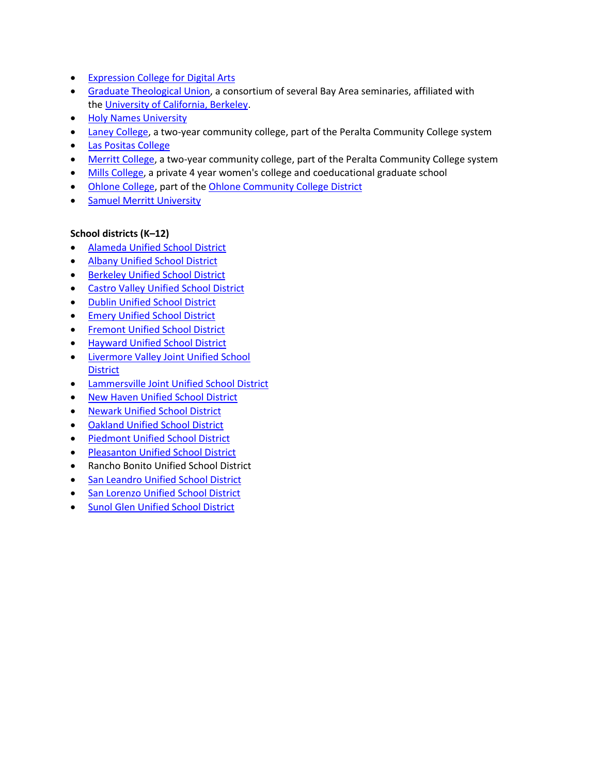- [Expression College for Digital Arts](https://en.wikipedia.org/wiki/Ex%27pression_College_for_Digital_Arts)
- [Graduate Theological Union,](https://en.wikipedia.org/wiki/Graduate_Theological_Union) a consortium of several Bay Area seminaries, affiliated with the [University of California, Berkeley.](https://en.wikipedia.org/wiki/University_of_California,_Berkeley)
- **[Holy Names University](https://en.wikipedia.org/wiki/Holy_Names_University)**
- [Laney College,](https://en.wikipedia.org/wiki/Laney_College) a two-year community college, part of the Peralta Community College system
- [Las Positas College](https://en.wikipedia.org/wiki/Las_Positas_College)
- [Merritt College,](https://en.wikipedia.org/wiki/Merritt_College) a two-year community college, part of the Peralta Community College system
- [Mills College,](https://en.wikipedia.org/wiki/Mills_College) a private 4 year women's college and coeducational graduate school
- [Ohlone College,](https://en.wikipedia.org/wiki/Ohlone_College) part of the [Ohlone Community College District](https://en.wikipedia.org/wiki/Ohlone_Community_College_District)
- [Samuel Merritt University](https://en.wikipedia.org/wiki/Samuel_Merritt_University)

# **School districts (K–12)**

- [Alameda Unified School District](https://en.wikipedia.org/wiki/Alameda_Unified_School_District)
- [Albany Unified School District](https://en.wikipedia.org/wiki/Albany_Unified_School_District)
- [Berkeley Unified School District](https://en.wikipedia.org/wiki/Berkeley_Unified_School_District)
- [Castro Valley Unified School District](https://en.wikipedia.org/wiki/Castro_Valley_Unified_School_District)
- [Dublin Unified School District](https://en.wikipedia.org/wiki/Dublin_Unified_School_District)
- [Emery Unified School District](https://en.wikipedia.org/wiki/Emery_Unified_School_District)
- [Fremont Unified School District](https://en.wikipedia.org/wiki/Fremont_Unified_School_District)
- [Hayward Unified School District](https://en.wikipedia.org/wiki/Hayward_Unified_School_District)
- [Livermore Valley Joint Unified School](https://en.wikipedia.org/wiki/Livermore_Valley_Joint_Unified_School_District)  **[District](https://en.wikipedia.org/wiki/Livermore_Valley_Joint_Unified_School_District)**
- [Lammersville Joint Unified School District](https://en.wikipedia.org/wiki/Lammersville_Joint_Unified_School_District)
- [New Haven Unified School District](https://en.wikipedia.org/wiki/New_Haven_Unified_School_District)
- [Newark Unified School District](https://en.wikipedia.org/wiki/Newark_Unified_School_District)
- [Oakland Unified School District](https://en.wikipedia.org/wiki/Oakland_Unified_School_District)
- [Piedmont Unified School District](https://en.wikipedia.org/wiki/Piedmont_Unified_School_District)
- [Pleasanton Unified School District](https://en.wikipedia.org/wiki/Pleasanton_Unified_School_District)
- Rancho Bonito Unified School District
- [San Leandro Unified School District](https://en.wikipedia.org/wiki/San_Leandro_Unified_School_District)
- [San Lorenzo Unified School District](https://en.wikipedia.org/wiki/San_Lorenzo_Unified_School_District)
- [Sunol Glen Unified School District](https://en.wikipedia.org/w/index.php?title=Sunol_Glen_Unified_School_District&action=edit&redlink=1)